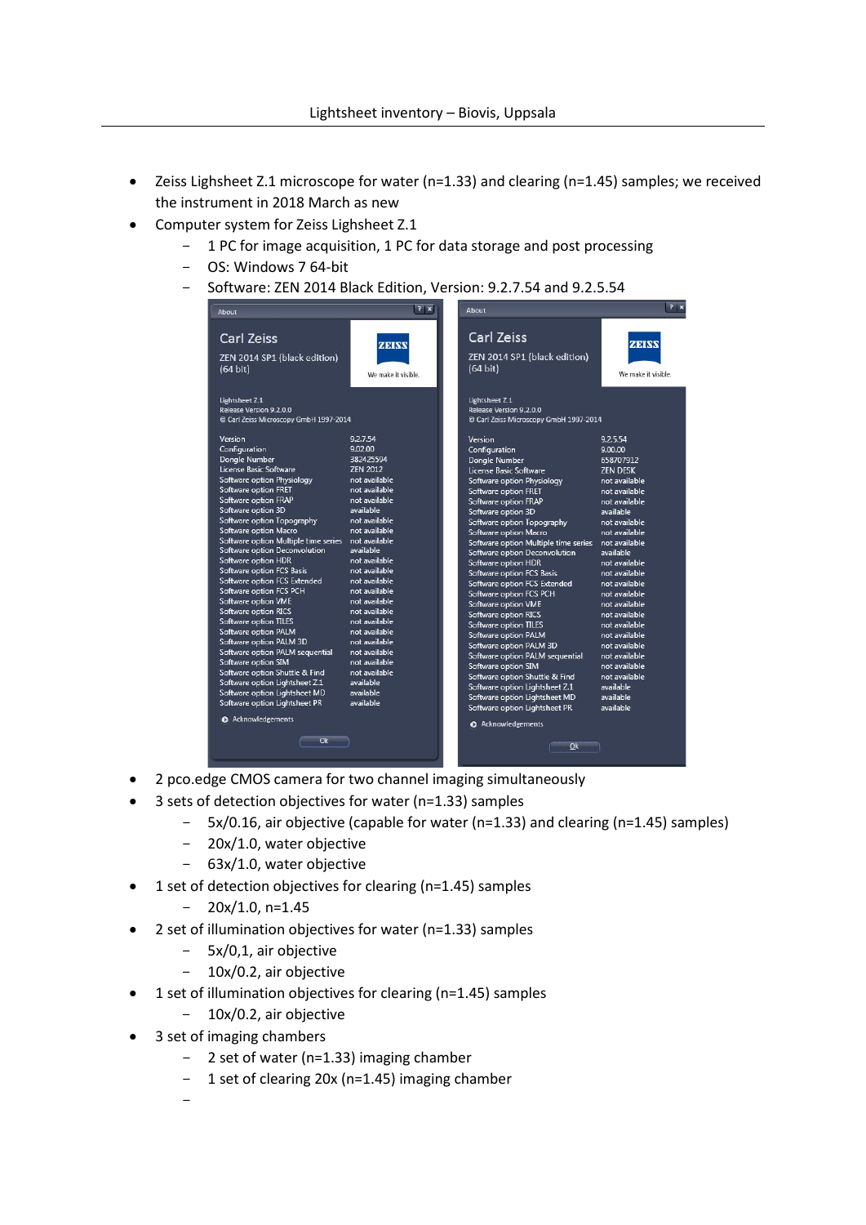- Zeiss Lighsheet Z.1 microscope for water (n=1.33) and clearing (n=1.45) samples; we received the instrument in 2018 March as new
- Computer system for Zeiss Lighsheet Z.1
	- 1 PC for image acquisition, 1 PC for data storage and post processing
	- OS: Windows 7 64-bit
	- Software: ZEN 2014 Black Edition, Version: 9.2.7.54 and 9.2.5.54

| <b>Carl Zeiss</b><br>Carl Zeiss<br>ZEINV<br>ZEINW<br>ZEN 2014 SP1 (black edition)<br>ZEN 2014 SP1 (black edition)<br>$(64 \text{ bit})$<br>$(64 \text{ bit})$<br>We make it visible.<br>We make it visible.<br>Lightsheet Z.1<br>Lightsheet Z.1<br>Release Version 9.2.0.0<br>Release Version 9.2.0.0<br>C Carl Zeiss Microscopy GmbH 1997-2014<br>C Carl Zeiss Microscopy GmbH 1997-2014<br>9.2.7.54<br>Version<br>9.2.5.54<br>Version<br>Configuration<br>9.02.00<br>Configuration<br>9.00.00<br>382425594<br><b>Dongle Number</b><br>Dongle Number<br>658707912<br>License Basic Software<br><b>7FN 2012</b><br>License Basic Software<br><b>ZEN DESK</b><br>Software option Physiology<br>not available<br>not available<br>Software option Physiology<br>Software option FRET<br>not available.<br>not available<br>Software option FRET<br>Software option FRAP<br>not available<br>not available<br>Software option FRAP<br>Software option 3D<br>available<br>Software option 3D<br>available<br>Software option Topography<br>not available<br>Software option Topography<br>not available<br>Software option Macro<br>not available<br>Software option Macro<br>not available<br>not available<br>Software option Multiple time series<br>Software option Multiple time series<br>not available<br>Software option Deconvolution<br>available<br>Software option Deconvolution<br>available<br>not available.<br>Software option HDR<br>Software option HDR<br>not available<br>not available.<br>Software option FCS Basis<br>not available<br>Software option FCS Basis<br>not available<br>Software option FCS Extended<br>Software option FCS Extended<br>not available<br>Software option FCS PCH<br>not available<br>Software option FCS PCH<br>not available<br>Software option VME<br>not available.<br>Software option VME<br>not available<br>not available<br>Software option RICS<br>Software option RICS<br>not available<br><b>Software option TILES</b><br>not available<br>Software option TILES<br>not available<br>not available<br>Software option PALM<br>not available<br><b>Software option PALM</b><br>Software option PALM 3D<br>not available<br>Software option PALM 3D<br>not available<br>Software option PALM sequential<br>not available.<br>Software option PALM sequential<br>not available<br>not available.<br>Software option SIM<br>Software option SIM<br>not available<br>Software option Shuttle & Find<br>not available<br>Software option Shuttle & Find<br>not available<br>Software option Lightsheet Z.1<br>available<br>Software option Lightsheet Z.1<br>available<br>Software option Lightsheet MD<br>available<br>Software option Lightsheet MD<br>available | $7 \times$<br>About           |           | About |  |
|------------------------------------------------------------------------------------------------------------------------------------------------------------------------------------------------------------------------------------------------------------------------------------------------------------------------------------------------------------------------------------------------------------------------------------------------------------------------------------------------------------------------------------------------------------------------------------------------------------------------------------------------------------------------------------------------------------------------------------------------------------------------------------------------------------------------------------------------------------------------------------------------------------------------------------------------------------------------------------------------------------------------------------------------------------------------------------------------------------------------------------------------------------------------------------------------------------------------------------------------------------------------------------------------------------------------------------------------------------------------------------------------------------------------------------------------------------------------------------------------------------------------------------------------------------------------------------------------------------------------------------------------------------------------------------------------------------------------------------------------------------------------------------------------------------------------------------------------------------------------------------------------------------------------------------------------------------------------------------------------------------------------------------------------------------------------------------------------------------------------------------------------------------------------------------------------------------------------------------------------------------------------------------------------------------------------------------------------------------------------------------------------------------------------------------------------------------------------------------------------------------------------------------------------------------------------------------------------------------------------------------------------------------------------------------------------------------------------|-------------------------------|-----------|-------|--|
|                                                                                                                                                                                                                                                                                                                                                                                                                                                                                                                                                                                                                                                                                                                                                                                                                                                                                                                                                                                                                                                                                                                                                                                                                                                                                                                                                                                                                                                                                                                                                                                                                                                                                                                                                                                                                                                                                                                                                                                                                                                                                                                                                                                                                                                                                                                                                                                                                                                                                                                                                                                                                                                                                                                        |                               |           |       |  |
|                                                                                                                                                                                                                                                                                                                                                                                                                                                                                                                                                                                                                                                                                                                                                                                                                                                                                                                                                                                                                                                                                                                                                                                                                                                                                                                                                                                                                                                                                                                                                                                                                                                                                                                                                                                                                                                                                                                                                                                                                                                                                                                                                                                                                                                                                                                                                                                                                                                                                                                                                                                                                                                                                                                        |                               |           |       |  |
| available<br>Software option Lightsheet PR<br><b>Q</b> Acknowledgements<br><b>O</b> Acknowledgements<br>Ok<br>Ok                                                                                                                                                                                                                                                                                                                                                                                                                                                                                                                                                                                                                                                                                                                                                                                                                                                                                                                                                                                                                                                                                                                                                                                                                                                                                                                                                                                                                                                                                                                                                                                                                                                                                                                                                                                                                                                                                                                                                                                                                                                                                                                                                                                                                                                                                                                                                                                                                                                                                                                                                                                                       | Software option Lightsheet PR | available |       |  |

- 2 pco.edge CMOS camera for two channel imaging simultaneously
- 3 sets of detection objectives for water (n=1.33) samples
	- 5x/0.16, air objective (capable for water (n=1.33) and clearing (n=1.45) samples)
	- 20x/1.0, water objective
	- 63x/1.0, water objective
- 1 set of detection objectives for clearing (n=1.45) samples
	- $-20x/1.0$ , n=1.45
- 2 set of illumination objectives for water (n=1.33) samples
	- 5x/0,1, air objective
	- 10x/0.2, air objective
- 1 set of illumination objectives for clearing (n=1.45) samples
	- $-10x/0.2$ , air objective
- 3 set of imaging chambers
	- 2 set of water (n=1.33) imaging chamber
	- 1 set of clearing 20x (n=1.45) imaging chamber
	- $\overline{\phantom{0}}$